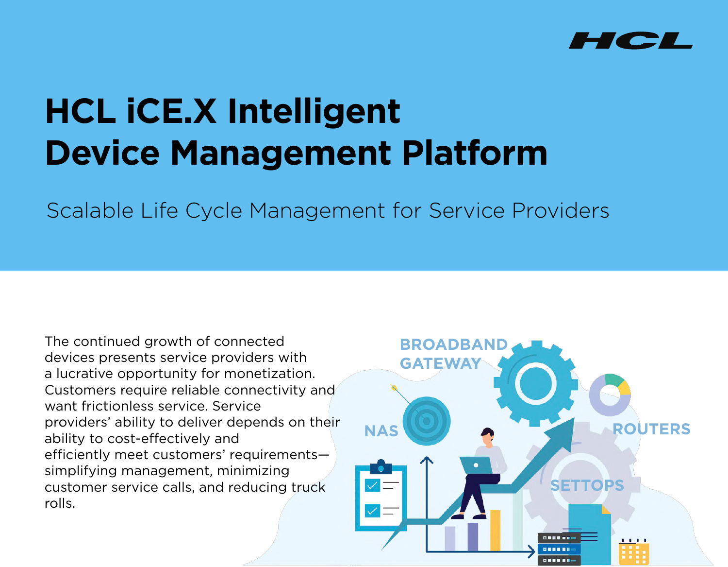

# **HCL iCE.X Intelligent Device Management Platform**

Scalable Life Cycle Management for Service Providers

The continued growth of connected devices presents service providers with a lucrative opportunity for monetization. Customers require reliable connectivity and want frictionless service. Service providers' ability to deliver depends on their ability to cost-effectively and efficiently meet customers' requirements simplifying management, minimizing customer service calls, and reducing truck rolls.

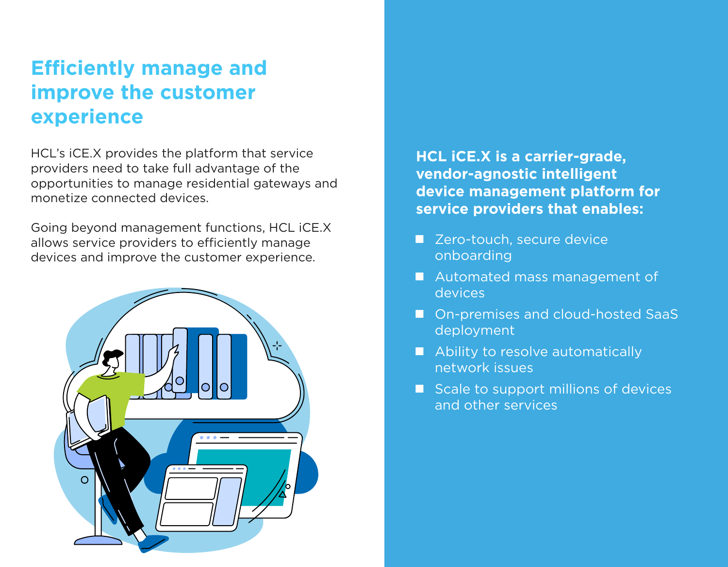### **Efficiently manage and improve the customer experience**

HCL's iCE.X provides the platform that service providers need to take full advantage of the opportunities to manage residential gateways and monetize connected devices.

Going beyond management functions, HCL iCE.X allows service providers to efficiently manage devices and improve the customer experience.



**HCL iCE.X is a carrier-grade, vendor-agnostic intelligent device management platform for service providers that enables:**

- Zero-touch, secure device onboarding
- **Automated mass management of** devices
- On-premises and cloud-hosted SaaS deployment
- Ability to resolve automatically network issues
- $\blacksquare$  Scale to support millions of devices and other services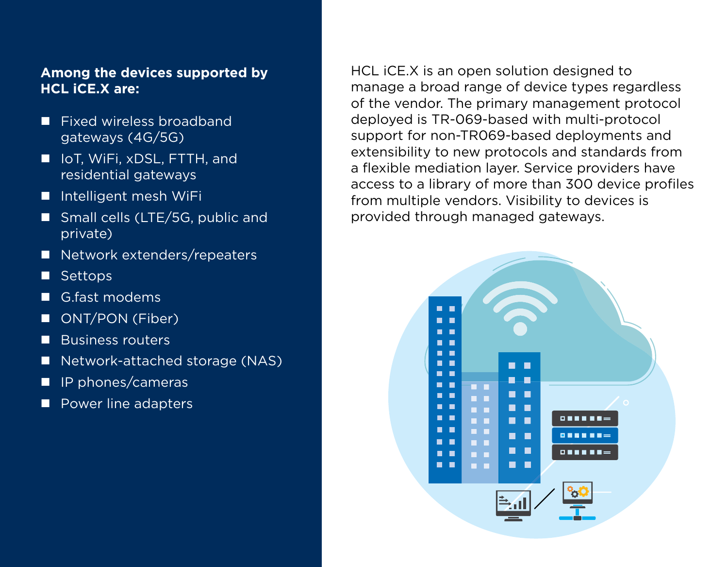#### **Among the devices supported by HCL iCE.X are:**

- Fixed wireless broadband gateways (4G/5G)
- IoT, WiFi, xDSL, FTTH, and residential gateways
- Intelligent mesh WiFi
- Small cells (LTE/5G, public and private)
- Network extenders/repeaters
- Settops
- G.fast modems
- ONT/PON (Fiber)
- Business routers
- Network-attached storage (NAS)
- $\blacksquare$  IP phones/cameras
- Power line adapters

HCL iCE.X is an open solution designed to manage a broad range of device types regardless of the vendor. The primary management protocol deployed is TR-069-based with multi-protocol support for non-TR069-based deployments and extensibility to new protocols and standards from a flexible mediation layer. Service providers have access to a library of more than 300 device profiles from multiple vendors. Visibility to devices is provided through managed gateways.

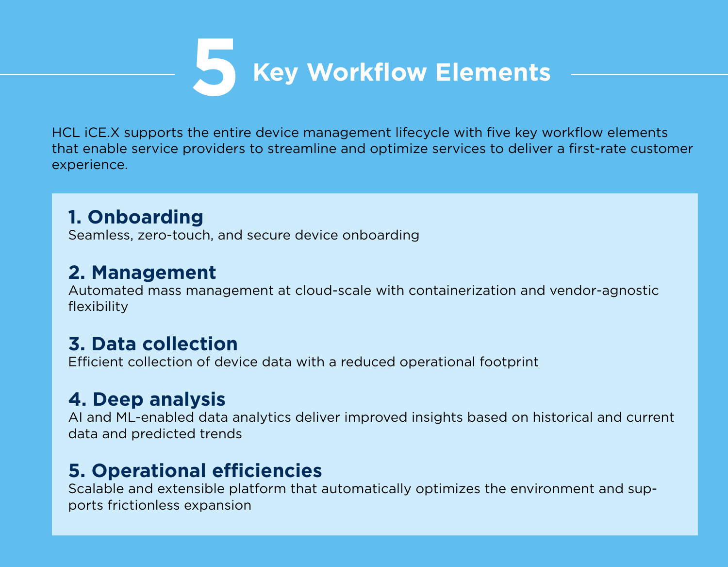# **5 Key Workflow Elements**

HCL iCE.X supports the entire device management lifecycle with five key workflow elements that enable service providers to streamline and optimize services to deliver a first-rate customer experience.

### **1. Onboarding**

Seamless, zero-touch, and secure device onboarding

### **2. Management**

Automated mass management at cloud-scale with containerization and vendor-agnostic flexibility

### **3. Data collection**

Efficient collection of device data with a reduced operational footprint

### **4. Deep analysis**

AI and ML-enabled data analytics deliver improved insights based on historical and current data and predicted trends

### **5. Operational efficiencies**

Scalable and extensible platform that automatically optimizes the environment and supports frictionless expansion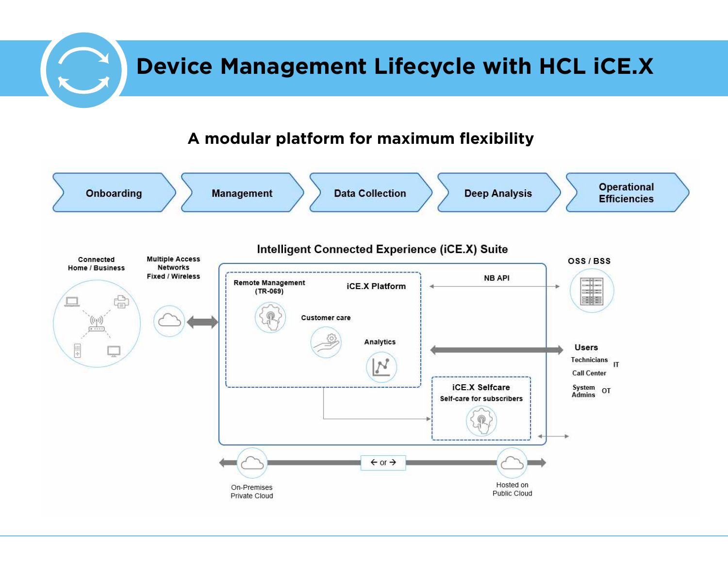# **Device Management Lifecycle with HCL iCE.X**

#### **A modular platform for maximum flexibility**

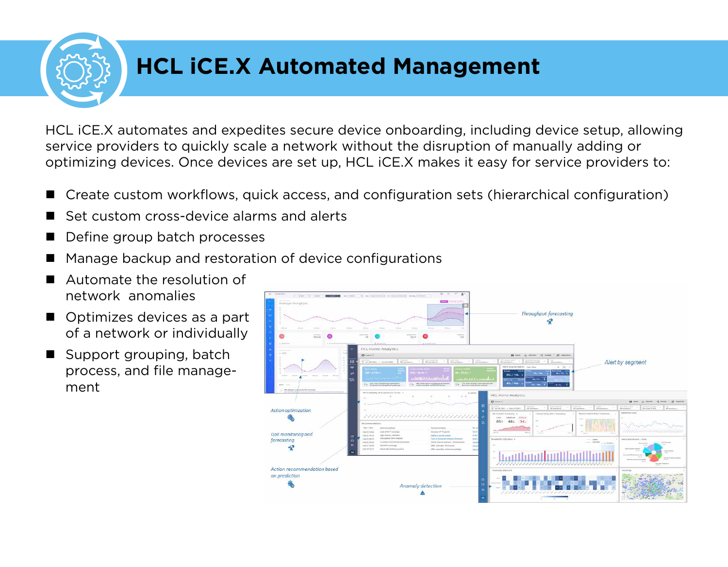# **HCL iCE.X Automated Management**

HCL iCE.X automates and expedites secure device onboarding, including device setup, allowing service providers to quickly scale a network without the disruption of manually adding or optimizing devices. Once devices are set up, HCL iCE.X makes it easy for service providers to:

- Create custom workflows, quick access, and configuration sets (hierarchical configuration)
- Set custom cross-device alarms and alerts
- Define group batch processes
- Manage backup and restoration of device configurations
- Automate the resolution of network anomalies
- Optimizes devices as a part of a network or individually
- $\blacksquare$  Support grouping, batch process, and file management

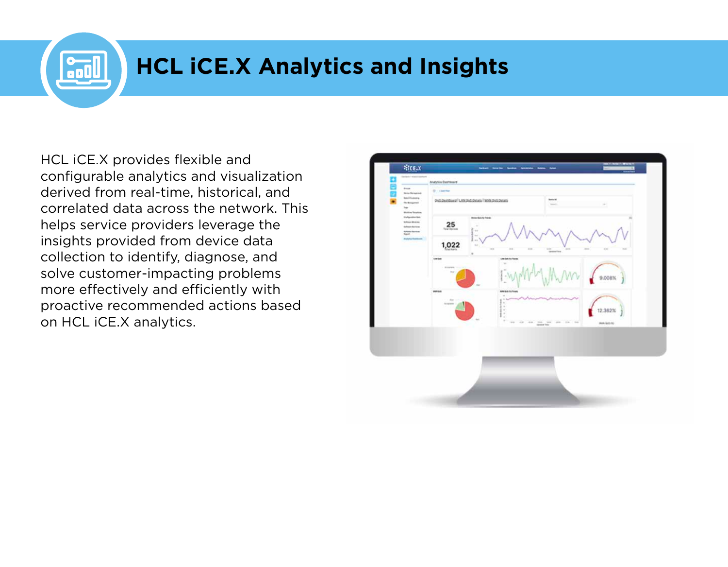# **HCL iCE.X Analytics and Insights**

HCL iCE.X provides flexible and configurable analytics and visualization derived from real-time, historical, and correlated data across the network. This helps service providers leverage the insights provided from device data collection to identify, diagnose, and solve customer-impacting problems more effectively and efficiently with proactive recommended actions based on HCL iCE.X analytics.

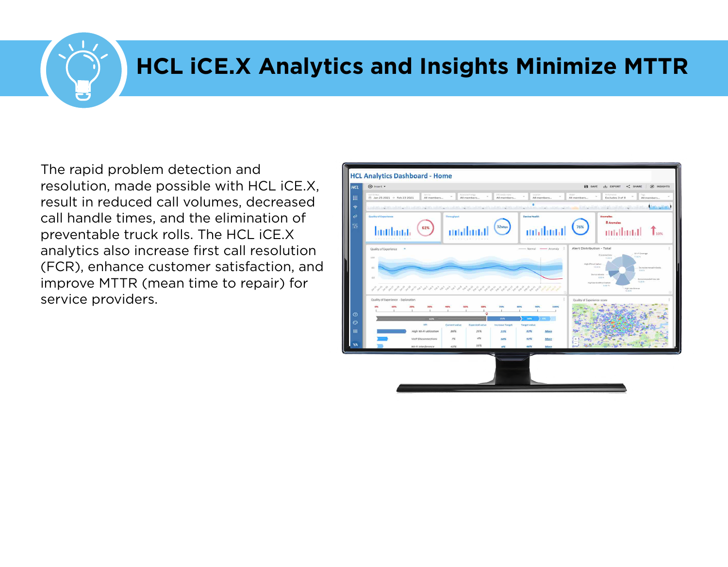## **HCL iCE.X Analytics and Insights Minimize MTTR**

The rapid problem detection and resolution, made possible with HCL iCE.X, result in reduced call volumes, decreased call handle times, and the elimination of preventable truck rolls. The HCL iCE.X analytics also increase first call resolution (FCR), enhance customer satisfaction, and improve MTTR (mean time to repair) for service providers.

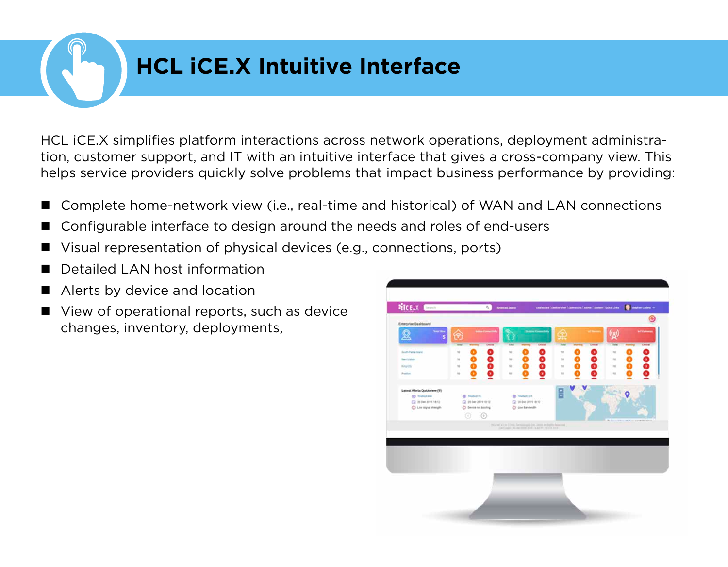## **HCL iCE.X Intuitive Interface**

HCL iCE.X simplifies platform interactions across network operations, deployment administration, customer support, and IT with an intuitive interface that gives a cross-company view. This helps service providers quickly solve problems that impact business performance by providing:

- Complete home-network view (i.e., real-time and historical) of WAN and LAN connections
- Configurable interface to design around the needs and roles of end-users
- Visual representation of physical devices (e.g., connections, ports)
- Detailed LAN host information
- Alerts by device and location
- View of operational reports, such as device changes, inventory, deployments,

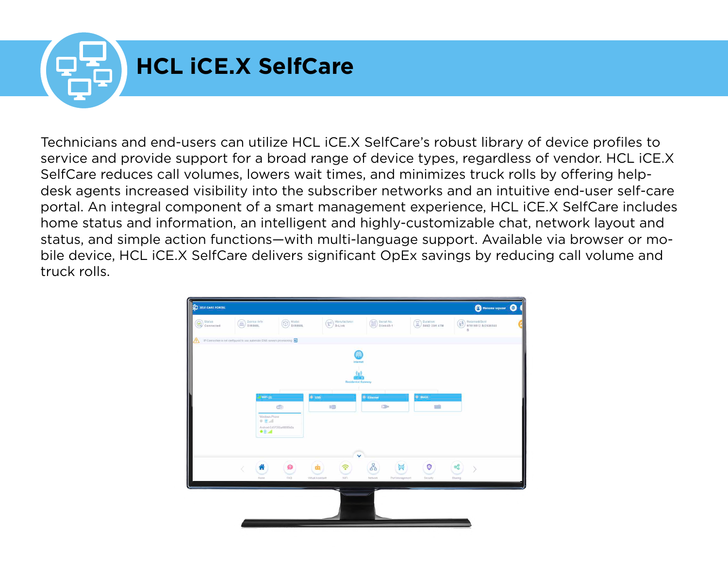

Technicians and end-users can utilize HCL iCE.X SelfCare's robust library of device profiles to service and provide support for a broad range of device types, regardless of vendor. HCL iCE.X SelfCare reduces call volumes, lowers wait times, and minimizes truck rolls by offering helpdesk agents increased visibility into the subscriber networks and an intuitive end-user self-care portal. An integral component of a smart management experience, HCL iCE.X SelfCare includes home status and information, an intelligent and highly-customizable chat, network layout and status, and simple action functions—with multi-language support. Available via browser or mobile device, HCL iCE.X SelfCare delivers significant OpEx savings by reducing call volume and truck rolls.

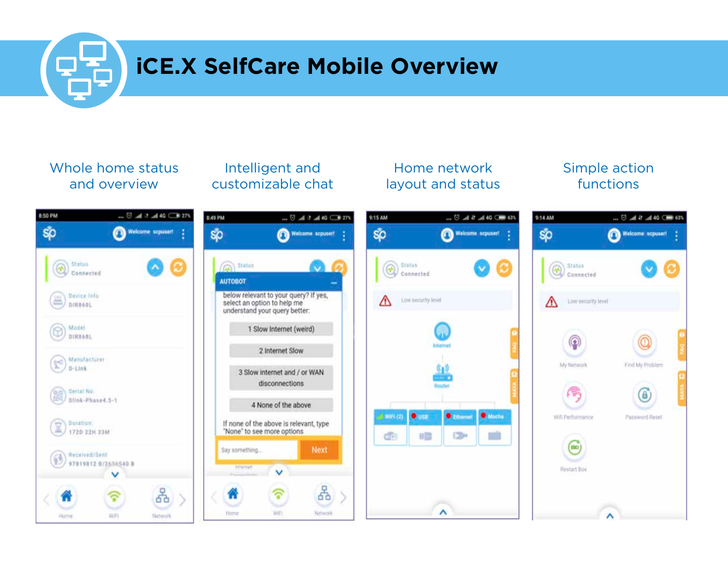# **iCE.X SelfCare Mobile Overview**

#### Whole home status and overview

#### Intelligent and customizable chat

#### Home network layout and status

#### Simple action functions

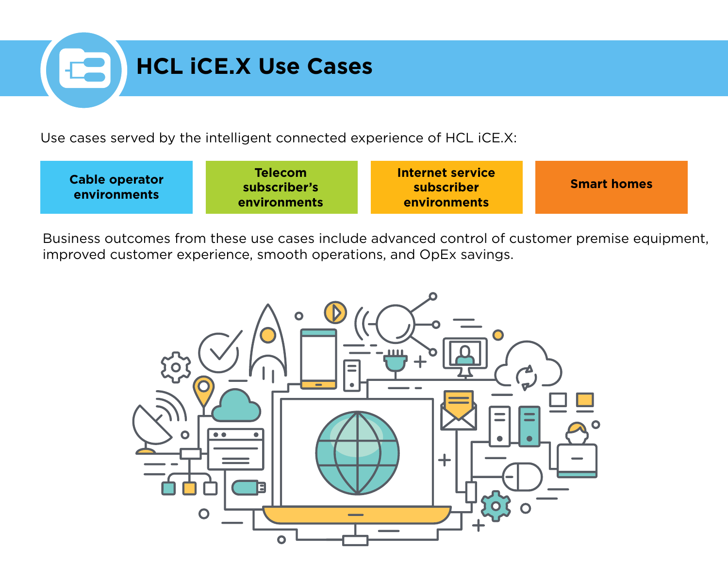# **HCL iCE.X Use Cases**

Use cases served by the intelligent connected experience of HCL iCE.X:

| <b>Cable operator</b><br><b>environments</b> | <b>Telecom</b><br>subscriber's<br>environments | Internet service<br>subscriber<br><b>environments</b> | <b>Smart homes</b> |
|----------------------------------------------|------------------------------------------------|-------------------------------------------------------|--------------------|
|----------------------------------------------|------------------------------------------------|-------------------------------------------------------|--------------------|

Business outcomes from these use cases include advanced control of customer premise equipment, improved customer experience, smooth operations, and OpEx savings.

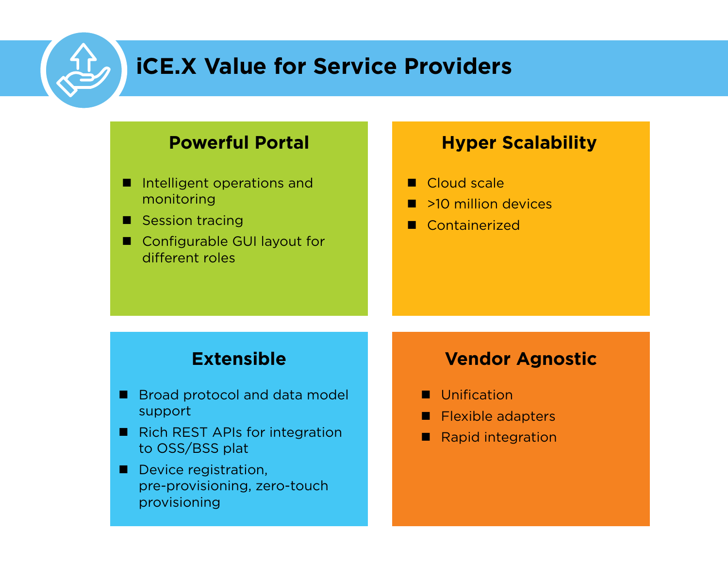## **iCE.X Value for Service Providers**

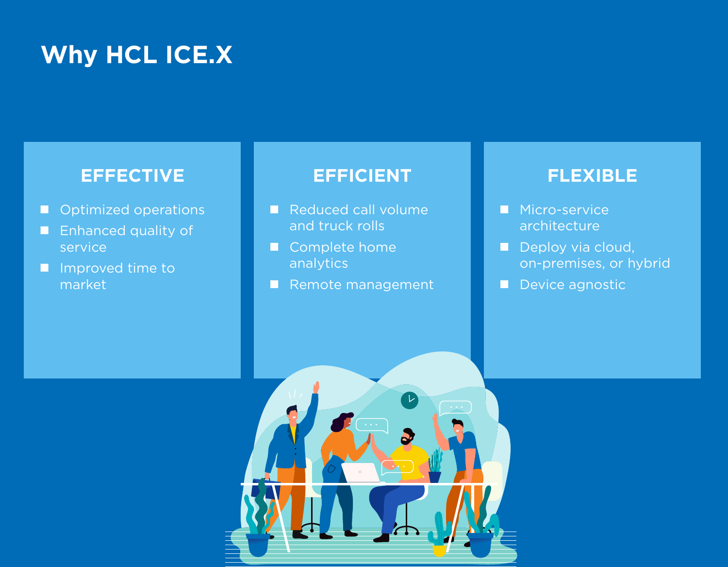# **Why HCL ICE.X**

### **EFFECTIVE**

- **Optimized operations**
- **Enhanced quality of** service
- **I** Improved time to market

#### **EFFICIENT**

- Reduced call volume and truck rolls
- Complete home analytics
- Remote management

#### **FLEXIBLE**

- **Micro-service** architecture
- Deploy via cloud, on-premises, or hybrid
- Device agnostic